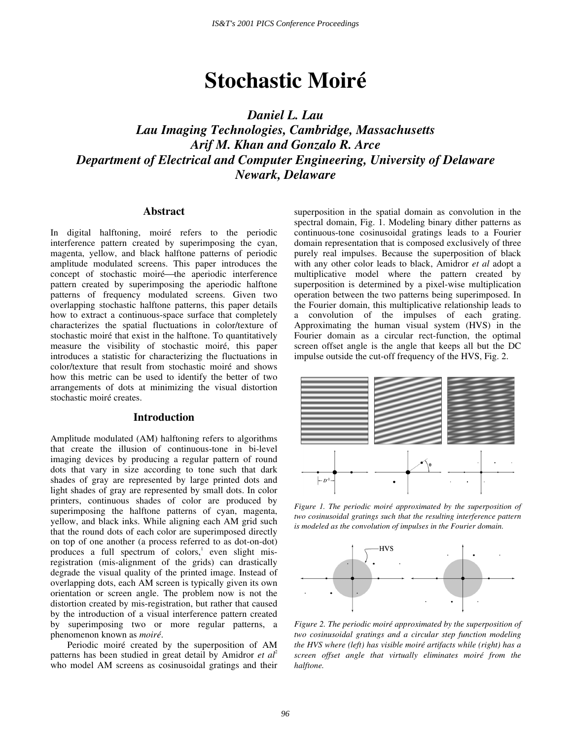# **Stochastic Moiré**

*Daniel L. Lau Lau Imaging Technologies, Cambridge, Massachusetts Arif M. Khan and Gonzalo R. Arce Department of Electrical and Computer Engineering, University of Delaware Newark, Delaware* 

## **Abstract**

In digital halftoning, moiré refers to the periodic interference pattern created by superimposing the cyan, magenta, yellow, and black halftone patterns of periodic amplitude modulated screens. This paper introduces the concept of stochastic moiré—the aperiodic interference pattern created by superimposing the aperiodic halftone patterns of frequency modulated screens. Given two overlapping stochastic halftone patterns, this paper details how to extract a continuous-space surface that completely characterizes the spatial fluctuations in color/texture of stochastic moiré that exist in the halftone. To quantitatively measure the visibility of stochastic moiré, this paper introduces a statistic for characterizing the fluctuations in color/texture that result from stochastic moiré and shows how this metric can be used to identify the better of two arrangements of dots at minimizing the visual distortion stochastic moiré creates.

# **Introduction**

Amplitude modulated (AM) halftoning refers to algorithms that create the illusion of continuous-tone in bi-level imaging devices by producing a regular pattern of round dots that vary in size according to tone such that dark shades of gray are represented by large printed dots and light shades of gray are represented by small dots. In color printers, continuous shades of color are produced by superimposing the halftone patterns of cyan, magenta, yellow, and black inks. While aligning each AM grid such that the round dots of each color are superimposed directly on top of one another (a process referred to as dot-on-dot) produces a full spectrum of colors,<sup>1</sup> even slight misregistration (mis-alignment of the grids) can drastically degrade the visual quality of the printed image. Instead of overlapping dots, each AM screen is typically given its own orientation or screen angle. The problem now is not the distortion created by mis-registration, but rather that caused by the introduction of a visual interference pattern created by superimposing two or more regular patterns, a phenomenon known as *moiré*.

Periodic moiré created by the superposition of AM patterns has been studied in great detail by Amidror *et al*<sup>2</sup> who model AM screens as cosinusoidal gratings and their superposition in the spatial domain as convolution in the spectral domain, Fig. 1. Modeling binary dither patterns as continuous-tone cosinusoidal gratings leads to a Fourier domain representation that is composed exclusively of three purely real impulses. Because the superposition of black with any other color leads to black, Amidror *et al* adopt a multiplicative model where the pattern created by superposition is determined by a pixel-wise multiplication operation between the two patterns being superimposed. In the Fourier domain, this multiplicative relationship leads to a convolution of the impulses of each grating. Approximating the human visual system (HVS) in the Fourier domain as a circular rect-function, the optimal screen offset angle is the angle that keeps all but the DC impulse outside the cut-off frequency of the HVS, Fig. 2.



*Figure 1. The periodic moiré approximated by the superposition of two cosinusoidal gratings such that the resulting interference pattern is modeled as the convolution of impulses in the Fourier domain.* 



*Figure 2. The periodic moiré approximated by the superposition of two cosinusoidal gratings and a circular step function modeling the HVS where (left) has visible moiré artifacts while (right) has a screen offset angle that virtually eliminates moiré from the halftone.*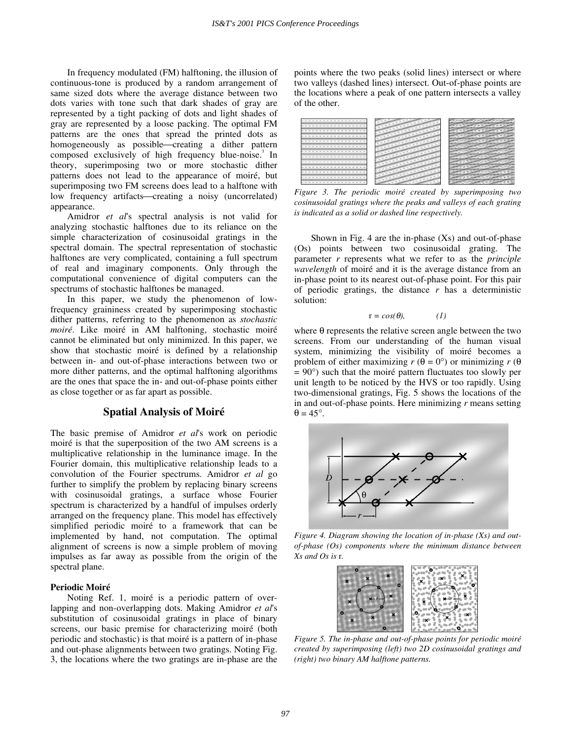In frequency modulated (FM) halftoning, the illusion of continuous-tone is produced by a random arrangement of same sized dots where the average distance between two dots varies with tone such that dark shades of gray are represented by a tight packing of dots and light shades of gray are represented by a loose packing. The optimal FM patterns are the ones that spread the printed dots as homogeneously as possible—creating a dither pattern composed exclusively of high frequency blue-noise.<sup>3</sup> In theory, superimposing two or more stochastic dither patterns does not lead to the appearance of moiré, but superimposing two FM screens does lead to a halftone with low frequency artifacts—creating a noisy (uncorrelated) appearance.

Amidror *et al*'s spectral analysis is not valid for analyzing stochastic halftones due to its reliance on the simple characterization of cosinusoidal gratings in the spectral domain. The spectral representation of stochastic halftones are very complicated, containing a full spectrum of real and imaginary components. Only through the computational convenience of digital computers can the spectrums of stochastic halftones be managed.

In this paper, we study the phenomenon of lowfrequency graininess created by superimposing stochastic dither patterns, referring to the phenomenon as *stochastic moiré*. Like moiré in AM halftoning, stochastic moiré cannot be eliminated but only minimized. In this paper, we show that stochastic moiré is defined by a relationship between in- and out-of-phase interactions between two or more dither patterns, and the optimal halftoning algorithms are the ones that space the in- and out-of-phase points either as close together or as far apart as possible.

## **Spatial Analysis of Moiré**

The basic premise of Amidror *et al*'s work on periodic moiré is that the superposition of the two AM screens is a multiplicative relationship in the luminance image. In the Fourier domain, this multiplicative relationship leads to a convolution of the Fourier spectrums. Amidror *et al* go further to simplify the problem by replacing binary screens with cosinusoidal gratings, a surface whose Fourier spectrum is characterized by a handful of impulses orderly arranged on the frequency plane. This model has effectively simplified periodic moiré to a framework that can be implemented by hand, not computation. The optimal alignment of screens is now a simple problem of moving impulses as far away as possible from the origin of the spectral plane.

#### **Periodic Moiré**

Noting Ref. 1, moiré is a periodic pattern of overlapping and non-overlapping dots. Making Amidror *et al*'s substitution of cosinusoidal gratings in place of binary screens, our basic premise for characterizing moiré (both periodic and stochastic) is that moiré is a pattern of in-phase and out-phase alignments between two gratings. Noting Fig. 3, the locations where the two gratings are in-phase are the

points where the two peaks (solid lines) intersect or where two valleys (dashed lines) intersect. Out-of-phase points are the locations where a peak of one pattern intersects a valley of the other.

| <b>Contract Contract Contract Contract Contract Contract Contract Contract Contract Contract Contract Contract Contract Contract Contract Contract Contract Contract Contract Contract Contract Contract Contract Contract Contr</b><br>التواريد<br>سي<br>-<br>- e<br>$\sim$<br>$\overline{\phantom{a}}$<br>and the second con-<br>۰<br>-<br>-<br>$\overline{\phantom{a}}$<br>-<br><b>Contract Contract Contract Contract Contract Contract Contract Contract Contract Contract Contract Contract Contract Contract Contract Contract Contract Contract Contract Contract Contract Contract Contract Contract Contr</b><br>- e<br>المحتور<br>-<br>- e<br>-<br>المحتوين<br>-<br>e sta<br>المحتور<br>-<br>.<br>المحتور<br>and the contract of the contract of<br><b>Contraction</b><br>$\overline{\phantom{a}}$<br><b>Service</b><br>۰<br>التجارين<br><b>Contraction</b><br>$\overline{\phantom{a}}$<br>-<br>$\overline{\phantom{a}}$<br>-<br><b><i>CONTRACTOR</i></b><br>-<br>التواديد<br>-<br><b>CONTRACTOR</b><br>-<br>-<br>-<br><b>Service</b><br>$\sim$<br>-<br>-<br>-<br>-2 | <b>SILVERS</b><br><b>STATISTICS</b><br>w<br>×<br>۰<br>--<br><b>Service</b><br>≂<br>-20<br>×<br>$\overline{a}$<br>$\overline{a}$<br>$\overline{\phantom{a}}$<br>≂<br>٠<br>$\sim$<br>÷<br>s<br>۰<br>×<br>-<br>-2<br>المحتبب<br><b>Service</b><br>$-$<br>$\sim$<br>≂<br>$\sim$<br>المتوازن<br>-<br>÷<br>÷<br>المحتويد<br><b>Property</b><br>تستبست<br>$-$<br>÷<br>u<br>÷<br>≂<br>-2<br>بالمرد<br>المستعد<br>تعبيب<br><b>Service</b><br>$\overline{\phantom{a}}$<br>÷<br>$\overline{\phantom{a}}$<br>المنيور<br><b>Security</b><br>z<br>$\overline{\phantom{a}}$<br>ú<br><b>STATE</b><br>حسب<br>المحتويد<br><b>College College</b><br>$\overline{\phantom{a}}$<br>-<br>$\sim$<br>المنتهب<br>-<br>۰<br>تصنيف<br>÷<br>جب<br>and without<br>$\sim$<br>z<br>÷<br>÷<br>تعتب |
|---------------------------------------------------------------------------------------------------------------------------------------------------------------------------------------------------------------------------------------------------------------------------------------------------------------------------------------------------------------------------------------------------------------------------------------------------------------------------------------------------------------------------------------------------------------------------------------------------------------------------------------------------------------------------------------------------------------------------------------------------------------------------------------------------------------------------------------------------------------------------------------------------------------------------------------------------------------------------------------------------------------------------------------------------------------------------------|--------------------------------------------------------------------------------------------------------------------------------------------------------------------------------------------------------------------------------------------------------------------------------------------------------------------------------------------------------------------------------------------------------------------------------------------------------------------------------------------------------------------------------------------------------------------------------------------------------------------------------------------------------------------------------------------------------------------------------------------------------------------|
| <b>Contract Contract Contract Contract Contract Contract Contract Contract Contract Contract Contract Contract Contract Contract Contract Contract Contract Contract Contract Contract Contract Contract Contract Contract Contr</b><br>۰,<br><b>Contraction</b><br>-<br>۰<br>التمسي<br>$\overline{\phantom{a}}$                                                                                                                                                                                                                                                                                                                                                                                                                                                                                                                                                                                                                                                                                                                                                                | ⇁<br>-<br>-20<br>تصنين<br>$-$<br>÷<br>$\overline{\phantom{a}}$<br>٠<br>-<br><b>Simple St</b><br>$\overline{\phantom{a}}$<br>-<br>-<br>-20<br>۰.<br>$\mathbb{R}^{\mathbb{Z}^2}$<br>÷<br>÷                                                                                                                                                                                                                                                                                                                                                                                                                                                                                                                                                                           |

*Figure 3. The periodic moiré created by superimposing two cosinusoidal gratings where the peaks and valleys of each grating is indicated as a solid or dashed line respectively.* 

Shown in Fig. 4 are the in-phase  $(Xs)$  and out-of-phase (Os) points between two cosinusoidal grating. The parameter *r* represents what we refer to as the *principle wavelength* of moiré and it is the average distance from an in-phase point to its nearest out-of-phase point. For this pair of periodic gratings, the distance  $r$  has a deterministic solution:

$$
r = \cos(\theta), \qquad (1)
$$

where  $\theta$  represents the relative screen angle between the two screens. From our understanding of the human visual system, minimizing the visibility of moiré becomes a problem of either maximizing  $r(\theta = 0^{\circ})$  or minimizing  $r(\theta)$  $= 90^{\circ}$ ) such that the moiré pattern fluctuates too slowly per unit length to be noticed by the HVS or too rapidly. Using two-dimensional gratings, Fig. 5 shows the locations of the in and out-of-phase points. Here minimizing *r* means setting  $\theta = 45^\circ$ .



*Figure 4. Diagram showing the location of in-phase (Xs) and outof-phase (Os) components where the minimum distance between Xs and Os is* r*.* 



*Figure 5. The in-phase and out-of-phase points for periodic moiré created by superimposing (left) two 2D cosinusoidal gratings and (right) two binary AM halftone patterns.*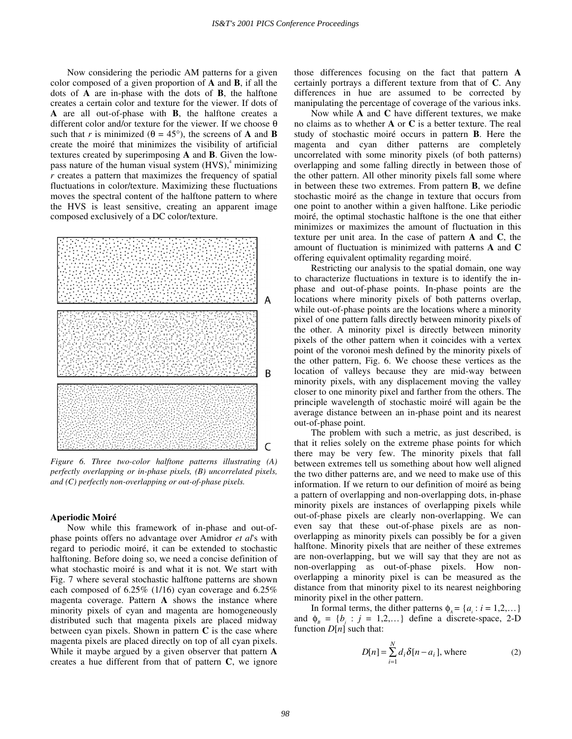Now considering the periodic AM patterns for a given color composed of a given proportion of **A** and **B**, if all the dots of **A** are in-phase with the dots of **B**, the halftone creates a certain color and texture for the viewer. If dots of **A** are all out-of-phase with **B**, the halftone creates a different color and/or texture for the viewer. If we choose θ such that *r* is minimized ( $\theta = 45^{\circ}$ ), the screens of **A** and **B** create the moiré that minimizes the visibility of artificial textures created by superimposing **A** and **B**. Given the lowpass nature of the human visual system (HVS),<sup>4</sup> minimizing *r* creates a pattern that maximizes the frequency of spatial fluctuations in color/texture. Maximizing these fluctuations moves the spectral content of the halftone pattern to where the HVS is least sensitive, creating an apparent image composed exclusively of a DC color/texture.



*Figure 6. Three two-color halftone patterns illustrating (A) perfectly overlapping or in-phase pixels, (B) uncorrelated pixels, and (C) perfectly non-overlapping or out-of-phase pixels.* 

#### **Aperiodic Moiré**

Now while this framework of in-phase and out-ofphase points offers no advantage over Amidror *et al*'s with regard to periodic moiré, it can be extended to stochastic halftoning. Before doing so, we need a concise definition of what stochastic moiré is and what it is not. We start with Fig. 7 where several stochastic halftone patterns are shown each composed of 6.25% (1/16) cyan coverage and 6.25% magenta coverage. Pattern **A** shows the instance where minority pixels of cyan and magenta are homogeneously distributed such that magenta pixels are placed midway between cyan pixels. Shown in pattern **C** is the case where magenta pixels are placed directly on top of all cyan pixels. While it maybe argued by a given observer that pattern **A** creates a hue different from that of pattern **C**, we ignore

those differences focusing on the fact that pattern **A** certainly portrays a different texture from that of **C**. Any differences in hue are assumed to be corrected by manipulating the percentage of coverage of the various inks.

Now while **A** and **C** have different textures, we make no claims as to whether **A** or **C** is a better texture. The real study of stochastic moiré occurs in pattern **B**. Here the magenta and cyan dither patterns are completely uncorrelated with some minority pixels (of both patterns) overlapping and some falling directly in between those of the other pattern. All other minority pixels fall some where in between these two extremes. From pattern **B**, we define stochastic moiré as the change in texture that occurs from one point to another within a given halftone. Like periodic moiré, the optimal stochastic halftone is the one that either minimizes or maximizes the amount of fluctuation in this texture per unit area. In the case of pattern **A** and **C**, the amount of fluctuation is minimized with patterns **A** and **C** offering equivalent optimality regarding moiré.

Restricting our analysis to the spatial domain, one way to characterize fluctuations in texture is to identify the inphase and out-of-phase points. In-phase points are the locations where minority pixels of both patterns overlap, while out-of-phase points are the locations where a minority pixel of one pattern falls directly between minority pixels of the other. A minority pixel is directly between minority pixels of the other pattern when it coincides with a vertex point of the voronoi mesh defined by the minority pixels of the other pattern, Fig. 6. We choose these vertices as the location of valleys because they are mid-way between minority pixels, with any displacement moving the valley closer to one minority pixel and farther from the others. The principle wavelength of stochastic moiré will again be the average distance between an in-phase point and its nearest out-of-phase point.

The problem with such a metric, as just described, is that it relies solely on the extreme phase points for which there may be very few. The minority pixels that fall between extremes tell us something about how well aligned the two dither patterns are, and we need to make use of this information. If we return to our definition of moiré as being a pattern of overlapping and non-overlapping dots, in-phase minority pixels are instances of overlapping pixels while out-of-phase pixels are clearly non-overlapping. We can even say that these out-of-phase pixels are as nonoverlapping as minority pixels can possibly be for a given halftone. Minority pixels that are neither of these extremes are non-overlapping, but we will say that they are not as non-overlapping as out-of-phase pixels. How nonoverlapping a minority pixel is can be measured as the distance from that minority pixel to its nearest neighboring minority pixel in the other pattern.

In formal terms, the dither patterns  $\phi_A = \{a_i : i = 1, 2, ...\}$ and  $\phi_B = \{b_j : j = 1, 2, ...\}$  define a discrete-space, 2-D function  $D[n]$  such that:

$$
D[n] = \sum_{i=1}^{N} d_i \delta[n - a_i], \text{ where } (2)
$$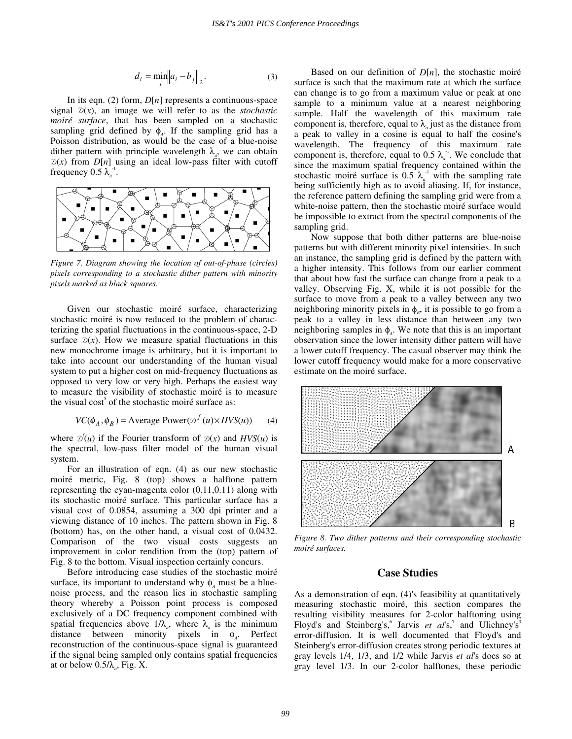$$
d_i = \min_j \left\| a_i - b_j \right\|_2.
$$
 (3)

In its eqn. (2) form, *D*[*n*] represents a continuous-space signal  $D(x)$ , an image we will refer to as the *stochastic moiré surface*, that has been sampled on a stochastic sampling grid defined by  $\phi_A$ . If the sampling grid has a Poisson distribution, as would be the case of a blue-noise dither pattern with principle wavelength  $\lambda_a$ , we can obtain  $D(x)$  from  $D[n]$  using an ideal low-pass filter with cutoff frequency  $0.5 \lambda_a^{-1}$ .



*Figure 7. Diagram showing the location of out-of-phase (circles) pixels corresponding to a stochastic dither pattern with minority pixels marked as black squares.* 

Given our stochastic moiré surface, characterizing stochastic moiré is now reduced to the problem of characterizing the spatial fluctuations in the continuous-space, 2-D surface  $\mathcal{D}(x)$ . How we measure spatial fluctuations in this new monochrome image is arbitrary, but it is important to take into account our understanding of the human visual system to put a higher cost on mid-frequency fluctuations as opposed to very low or very high. Perhaps the easiest way to measure the visibility of stochastic moiré is to measure the visual cost<sup>5</sup> of the stochastic moiré surface as:

$$
VC(\phi_A, \phi_B) = \text{Average Power}(\mathcal{D}^f(u) \times HVS(u)) \tag{4}
$$

where  $\mathcal{D}(u)$  if the Fourier transform of  $\mathcal{D}(x)$  and  $HVS(u)$  is the spectral, low-pass filter model of the human visual system.

For an illustration of eqn. (4) as our new stochastic moiré metric, Fig. 8 (top) shows a halftone pattern representing the cyan-magenta color (0.11,0.11) along with its stochastic moiré surface. This particular surface has a visual cost of 0.0854, assuming a 300 dpi printer and a viewing distance of 10 inches. The pattern shown in Fig. 8 (bottom) has, on the other hand, a visual cost of 0.0432. Comparison of the two visual costs suggests an improvement in color rendition from the (top) pattern of Fig. 8 to the bottom. Visual inspection certainly concurs.

Before introducing case studies of the stochastic moiré surface, its important to understand why  $\phi$ <sub>*A*</sub> must be a bluenoise process, and the reason lies in stochastic sampling theory whereby a Poisson point process is composed exclusively of a DC frequency component combined with spatial frequencies above  $1/\lambda_a$ , where  $\lambda_a$  is the minimum distance between minority pixels in  $\phi_A$ . Perfect reconstruction of the continuous-space signal is guaranteed if the signal being sampled only contains spatial frequencies at or below  $0.5/\lambda_a$ , Fig. X.

Based on our definition of  $D[n]$ , the stochastic moiré surface is such that the maximum rate at which the surface can change is to go from a maximum value or peak at one sample to a minimum value at a nearest neighboring sample. Half the wavelength of this maximum rate component is, therefore, equal to  $\lambda_a$  just as the distance from a peak to valley in a cosine is equal to half the cosine's wavelength. The frequency of this maximum rate component is, therefore, equal to 0.5  $\lambda_a^{-1}$ . We conclude that since the maximum spatial frequency contained within the stochastic moiré surface is 0.5  $\lambda_a^{-1}$  with the sampling rate being sufficiently high as to avoid aliasing. If, for instance, the reference pattern defining the sampling grid were from a white-noise pattern, then the stochastic moiré surface would be impossible to extract from the spectral components of the sampling grid.

Now suppose that both dither patterns are blue-noise patterns but with different minority pixel intensities. In such an instance, the sampling grid is defined by the pattern with a higher intensity. This follows from our earlier comment that about how fast the surface can change from a peak to a valley. Observing Fig. X, while it is not possible for the surface to move from a peak to a valley between any two neighboring minority pixels in  $\phi$ <sub>*B*</sub>, it is possible to go from a peak to a valley in less distance than between any two neighboring samples in  $\phi_A$ . We note that this is an important observation since the lower intensity dither pattern will have a lower cutoff frequency. The casual observer may think the lower cutoff frequency would make for a more conservative estimate on the moiré surface.



*Figure 8. Two dither patterns and their corresponding stochastic moiré surfaces.* 

## **Case Studies**

As a demonstration of eqn. (4)'s feasibility at quantitatively measuring stochastic moiré, this section compares the resulting visibility measures for 2-color halftoning using Floyd's and Steinberg's,<sup>6</sup> Jarvis *et al*'s,<sup>7</sup> and Ulichney's<sup>3</sup> error-diffusion. It is well documented that Floyd's and Steinberg's error-diffusion creates strong periodic textures at gray levels 1/4, 1/3, and 1/2 while Jarvis *et al*'s does so at gray level 1/3. In our 2-color halftones, these periodic